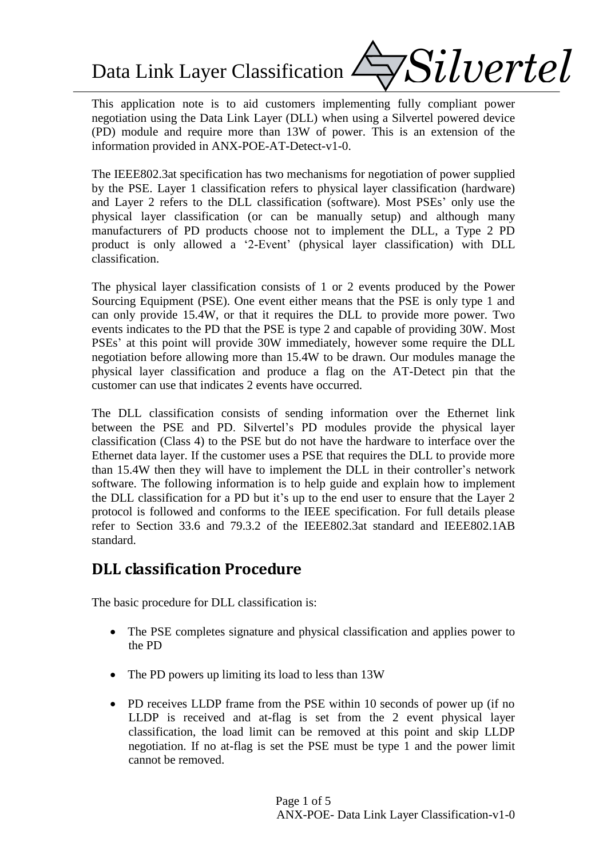Data Link Layer Classification  $\angle$ 



This application note is to aid customers implementing fully compliant power negotiation using the Data Link Layer (DLL) when using a Silvertel powered device (PD) module and require more than 13W of power. This is an extension of the information provided in ANX-POE-AT-Detect-v1-0.

The IEEE802.3at specification has two mechanisms for negotiation of power supplied by the PSE. Layer 1 classification refers to physical layer classification (hardware) and Layer 2 refers to the DLL classification (software). Most PSEs' only use the physical layer classification (or can be manually setup) and although many manufacturers of PD products choose not to implement the DLL, a Type 2 PD product is only allowed a '2-Event' (physical layer classification) with DLL classification.

The physical layer classification consists of 1 or 2 events produced by the Power Sourcing Equipment (PSE). One event either means that the PSE is only type 1 and can only provide 15.4W, or that it requires the DLL to provide more power. Two events indicates to the PD that the PSE is type 2 and capable of providing 30W. Most PSEs' at this point will provide 30W immediately, however some require the DLL negotiation before allowing more than 15.4W to be drawn. Our modules manage the physical layer classification and produce a flag on the AT-Detect pin that the customer can use that indicates 2 events have occurred.

The DLL classification consists of sending information over the Ethernet link between the PSE and PD. Silvertel's PD modules provide the physical layer classification (Class 4) to the PSE but do not have the hardware to interface over the Ethernet data layer. If the customer uses a PSE that requires the DLL to provide more than 15.4W then they will have to implement the DLL in their controller's network software. The following information is to help guide and explain how to implement the DLL classification for a PD but it's up to the end user to ensure that the Layer 2 protocol is followed and conforms to the IEEE specification. For full details please refer to Section 33.6 and 79.3.2 of the IEEE802.3at standard and IEEE802.1AB standard.

# **DLL classification Procedure**

The basic procedure for DLL classification is:

- The PSE completes signature and physical classification and applies power to the PD
- The PD powers up limiting its load to less than 13W
- PD receives LLDP frame from the PSE within 10 seconds of power up (if no LLDP is received and at-flag is set from the 2 event physical layer classification, the load limit can be removed at this point and skip LLDP negotiation. If no at-flag is set the PSE must be type 1 and the power limit cannot be removed.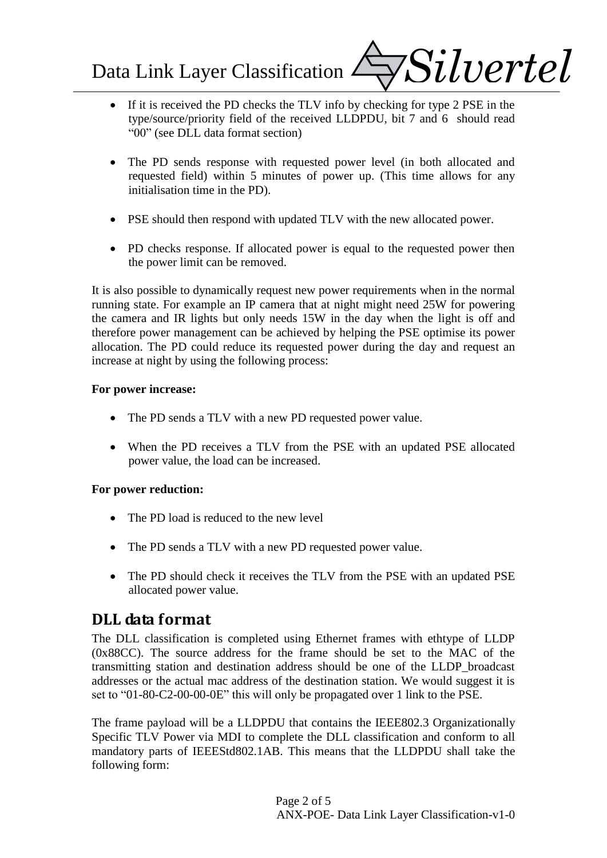Data Link Layer Classification  $\angle$ 



- If it is received the PD checks the TLV info by checking for type 2 PSE in the type/source/priority field of the received LLDPDU, bit 7 and 6 should read "00" (see DLL data format section)
- The PD sends response with requested power level (in both allocated and requested field) within 5 minutes of power up. (This time allows for any initialisation time in the PD).
- PSE should then respond with updated TLV with the new allocated power.
- PD checks response. If allocated power is equal to the requested power then the power limit can be removed.

It is also possible to dynamically request new power requirements when in the normal running state. For example an IP camera that at night might need 25W for powering the camera and IR lights but only needs 15W in the day when the light is off and therefore power management can be achieved by helping the PSE optimise its power allocation. The PD could reduce its requested power during the day and request an increase at night by using the following process:

#### **For power increase:**

- The PD sends a TLV with a new PD requested power value.
- When the PD receives a TLV from the PSE with an updated PSE allocated power value, the load can be increased.

### **For power reduction:**

- The PD load is reduced to the new level
- The PD sends a TLV with a new PD requested power value.
- The PD should check it receives the TLV from the PSE with an updated PSE allocated power value.

# **DLL data format**

The DLL classification is completed using Ethernet frames with ethtype of LLDP (0x88CC). The source address for the frame should be set to the MAC of the transmitting station and destination address should be one of the LLDP\_broadcast addresses or the actual mac address of the destination station. We would suggest it is set to "01-80-C2-00-00-0E" this will only be propagated over 1 link to the PSE.

The frame payload will be a LLDPDU that contains the IEEE802.3 Organizationally Specific TLV Power via MDI to complete the DLL classification and conform to all mandatory parts of IEEEStd802.1AB. This means that the LLDPDU shall take the following form: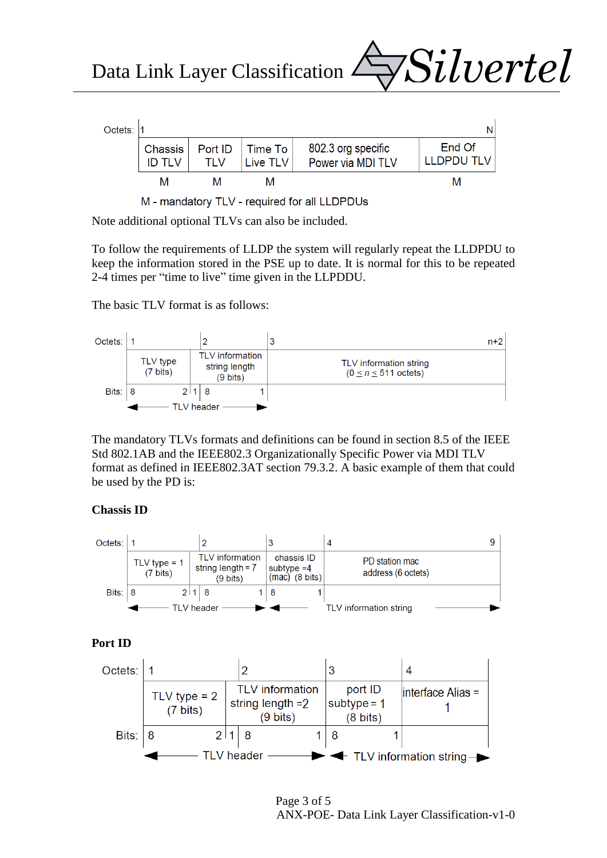Data Link Layer Classification



*Silvertel*



Note additional optional TLVs can also be included.

To follow the requirements of LLDP the system will regularly repeat the LLDPDU to keep the information stored in the PSE up to date. It is normal for this to be repeated 2-4 times per "time to live" time given in the LLPDDU.

The basic TLV format is as follows:



The mandatory TLVs formats and definitions can be found in section 8.5 of the IEEE Std 802.1AB and the IEEE802.3 Organizationally Specific Power via MDI TLV format as defined in IEEE802.3AT section 79.3.2. A basic example of them that could be used by the PD is:

#### **Chassis ID**



#### **Port ID**



Page 3 of 5 ANX-POE- Data Link Layer Classification-v1-0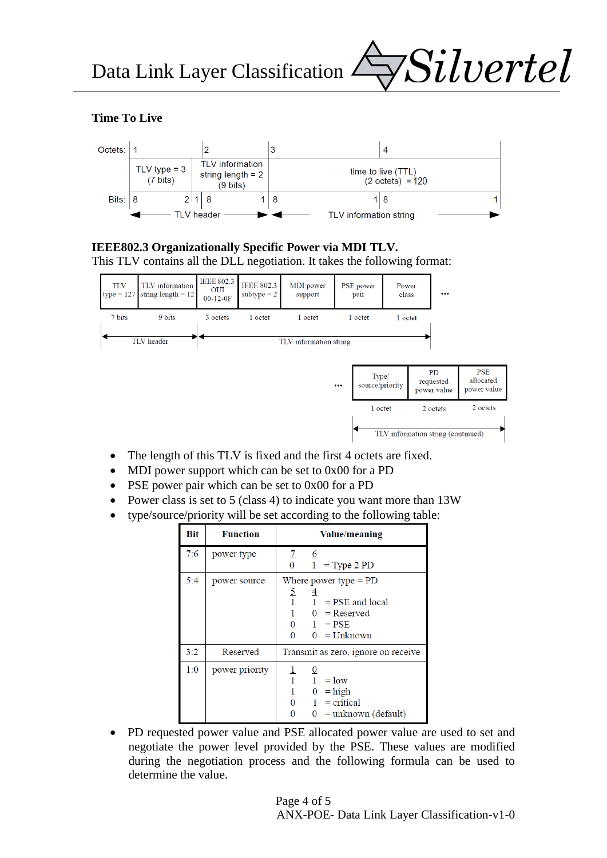

## **Time To Live**



# **IEEE802.3 Organizationally Specific Power via MDI TLV.**





- The length of this TLV is fixed and the first 4 octets are fixed.
- MDI power support which can be set to 0x00 for a PD
- PSE power pair which can be set to 0x00 for a PD
- Power class is set to 5 (class 4) to indicate you want more than 13W
- type/source/priority will be set according to the following table:

| Bit | <b>Function</b> | Value/meaning                                                                                                                        |  |  |
|-----|-----------------|--------------------------------------------------------------------------------------------------------------------------------------|--|--|
| 7:6 | power type      | $\mathbf{Z}$<br>$6\overline{6}$<br>$1 = Type 2 PD$<br>$\overline{0}$                                                                 |  |  |
| 5:4 | power source    | Where power type $=$ PD<br>$rac{5}{1}$<br>$1 = PSE$ and local<br>$0 =$ Reserved<br>$0 \quad 1 = PSE$<br>$0 \quad 0 = \text{Unknown}$ |  |  |
| 3:2 | Reserved        | Transmit as zero, ignore on receive                                                                                                  |  |  |
| 1:0 | power priority  | $\frac{0}{1} = \text{low}$<br>$0 = high$<br>$1 = critical$<br>$\mathbf{0}$<br>$0 =$ unknown (default)<br>0                           |  |  |

 PD requested power value and PSE allocated power value are used to set and negotiate the power level provided by the PSE. These values are modified during the negotiation process and the following formula can be used to determine the value.